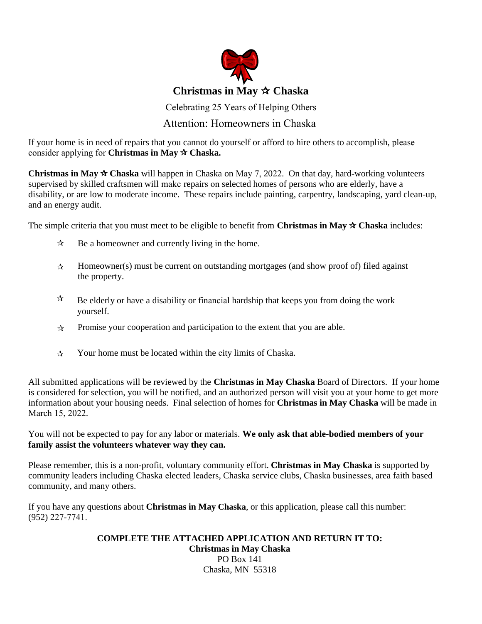

### Attention: Homeowners in Chaska

If your home is in need of repairs that you cannot do yourself or afford to hire others to accomplish, please **consider applying for Christmas in May**  $\star$  **Chaska.** 

**Christmas in May**  $\hat{\mathbf{x}}$  **Chaska** will happen in Chaska on May 7, 2022. On that day, hard-working volunteers supervised by skilled craftsmen will make repairs on selected homes of persons who are elderly, have a disability, or are low to moderate income. These repairs include painting, carpentry, landscaping, yard clean-up, and an energy audit.

The simple criteria that you must meet to be eligible to benefit from **Christmas in May**  $\star$  **Chaska** includes:

- $\frac{1}{\sqrt{2}}$ Be a homeowner and currently living in the home.
- $\tau_{\rm eff}$ Homeowner(s) must be current on outstanding mortgages (and show proof of) filed against the property.
- $\mathcal{A}$ Be elderly or have a disability or financial hardship that keeps you from doing the work yourself.
- $\mathbf{r}$ Promise your cooperation and participation to the extent that you are able.
- $\mathbf{r}$ Your home must be located within the city limits of Chaska.

All submitted applications will be reviewed by the **Christmas in May Chaska** Board of Directors. If your home is considered for selection, you will be notified, and an authorized person will visit you at your home to get more information about your housing needs. Final selection of homes for **Christmas in May Chaska** will be made in March 15, 2022.

You will not be expected to pay for any labor or materials. **We only ask that able-bodied members of your family assist the volunteers whatever way they can.** 

Please remember, this is a non-profit, voluntary community effort. **Christmas in May Chaska** is supported by community leaders including Chaska elected leaders, Chaska service clubs, Chaska businesses, area faith based community, and many others.

If you have any questions about **Christmas in May Chaska**, or this application, please call this number: (952) 227-7741.

#### **COMPLETE THE ATTACHED APPLICATION AND RETURN IT TO: Christmas in May Chaska**  PO Box 141

Chaska, MN 55318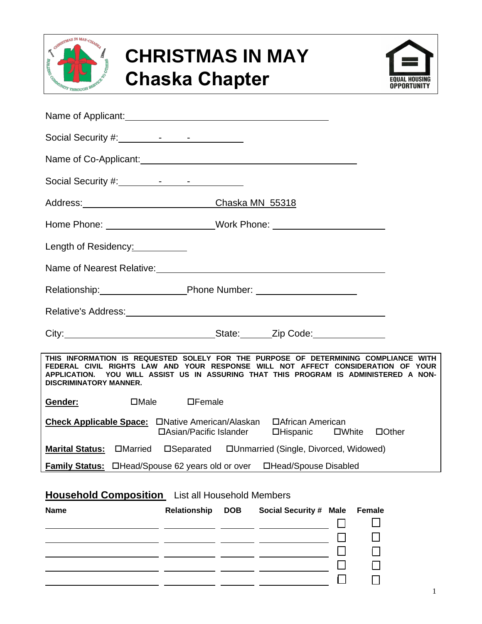

# **CHRISTMAS IN MAY Chaska Chapter**



| Name of Applicant: Name of Applicant:                                                                                                                                                                                                                                                            |                                                 |
|--------------------------------------------------------------------------------------------------------------------------------------------------------------------------------------------------------------------------------------------------------------------------------------------------|-------------------------------------------------|
|                                                                                                                                                                                                                                                                                                  |                                                 |
| Name of Co-Applicant: Manual Account of Co-Applicant:                                                                                                                                                                                                                                            |                                                 |
|                                                                                                                                                                                                                                                                                                  |                                                 |
| Address: Chaska MN 55318                                                                                                                                                                                                                                                                         |                                                 |
| Home Phone: __________________________Work Phone: ______________________________                                                                                                                                                                                                                 |                                                 |
| Length of Residency: ___________                                                                                                                                                                                                                                                                 |                                                 |
| Name of Nearest Relative: Manual Account of Nearest Relative:                                                                                                                                                                                                                                    |                                                 |
| Relationship: Phone Number: 2008 Municipal Phone Number: 2008                                                                                                                                                                                                                                    |                                                 |
|                                                                                                                                                                                                                                                                                                  |                                                 |
| City: City: City: City: City: City: City: City: City: City: City: City: City: City: City: City: City: City: City: City: City: City: City: City: City: City: City: City: City: City: City: City: City: City: City: City: City:                                                                    |                                                 |
| THIS INFORMATION IS REQUESTED SOLELY FOR THE PURPOSE OF DETERMINING COMPLIANCE WITH<br>FEDERAL CIVIL RIGHTS LAW AND YOUR RESPONSE WILL NOT AFFECT CONSIDERATION OF YOUR<br>APPLICATION. YOU WILL ASSIST US IN ASSURING THAT THIS PROGRAM IS ADMINISTERED A NON-<br><b>DISCRIMINATORY MANNER.</b> |                                                 |
| <b>Example 19 In The DIMale</b><br>$\Box$ Female<br>Gender:                                                                                                                                                                                                                                      |                                                 |
|                                                                                                                                                                                                                                                                                                  | □Asian/Pacific Islander □Hispanic □White □Other |
|                                                                                                                                                                                                                                                                                                  |                                                 |
| Family Status: OHead/Spouse 62 years old or over OHead/Spouse Disabled                                                                                                                                                                                                                           |                                                 |

## **Household Composition** List all Household Members

|  |  | Relationship DOB Social Security # Male Female |
|--|--|------------------------------------------------|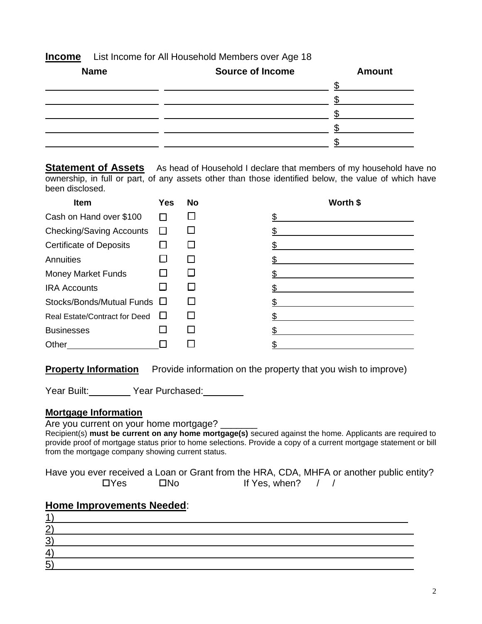| <b>Name</b> | ັ<br><b>Source of Income</b> | <b>Amount</b> |
|-------------|------------------------------|---------------|
|             |                              |               |
|             |                              |               |
|             |                              |               |
|             |                              |               |
|             |                              |               |

**Income** List Income for All Household Members over Age 18

**Statement of Assets** As head of Household I declare that members of my household have no ownership, in full or part, of any assets other than those identified below, the value of which have been disclosed.

| <b>Item</b>                          | <b>Yes</b>   | No | Worth \$ |
|--------------------------------------|--------------|----|----------|
| Cash on Hand over \$100              |              |    |          |
| <b>Checking/Saving Accounts</b>      |              |    |          |
| <b>Certificate of Deposits</b>       |              |    |          |
| Annuities                            |              |    |          |
| <b>Money Market Funds</b>            |              |    |          |
| <b>IRA Accounts</b>                  |              |    |          |
| Stocks/Bonds/Mutual Funds □          |              |    |          |
| <b>Real Estate/Contract for Deed</b> | $\mathbf{L}$ |    |          |
| <b>Businesses</b>                    |              |    |          |
| Other                                |              |    |          |

**Property Information** Provide information on the property that you wish to improve)

Year Built: Year Purchased:

#### **Mortgage Information**

Are you current on your home mortgage?

Recipient(s) **must be current on any home mortgage(s)** secured against the home. Applicants are required to provide proof of mortgage status prior to home selections. Provide a copy of a current mortgage statement or bill from the mortgage company showing current status.

Have you ever received a Loan or Grant from the HRA, CDA, MHFA or another public entity?  $\Box$  Yes. when? / /

#### **Home Improvements Needed**: